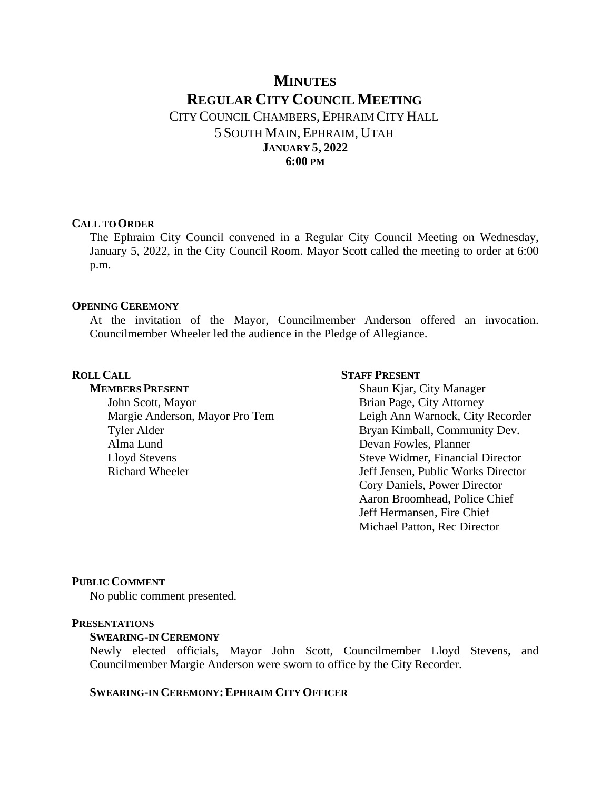# **MINUTES REGULAR CITY COUNCIL MEETING** CITY COUNCIL CHAMBERS, EPHRAIM CITY HALL 5 SOUTH MAIN, EPHRAIM, UTAH **JANUARY 5, 2022 6:00 PM**

#### **CALL TO ORDER**

The Ephraim City Council convened in a Regular City Council Meeting on Wednesday, January 5, 2022, in the City Council Room. Mayor Scott called the meeting to order at 6:00 p.m.

#### **OPENING CEREMONY**

At the invitation of the Mayor, Councilmember Anderson offered an invocation. Councilmember Wheeler led the audience in the Pledge of Allegiance.

### **ROLL CALL**

**MEMBERS PRESENT** John Scott, Mayor Margie Anderson, Mayor Pro Tem Tyler Alder Alma Lund Lloyd Stevens Richard Wheeler

#### **STAFF PRESENT**

Shaun Kjar, City Manager Brian Page, City Attorney Leigh Ann Warnock, City Recorder Bryan Kimball, Community Dev. Devan Fowles, Planner Steve Widmer, Financial Director Jeff Jensen, Public Works Director Cory Daniels, Power Director Aaron Broomhead, Police Chief Jeff Hermansen, Fire Chief Michael Patton, Rec Director

#### **PUBLIC COMMENT**

No public comment presented.

#### **PRESENTATIONS**

### **SWEARING-IN CEREMONY**

Newly elected officials, Mayor John Scott, Councilmember Lloyd Stevens, and Councilmember Margie Anderson were sworn to office by the City Recorder.

### **SWEARING-IN CEREMONY:EPHRAIM CITY OFFICER**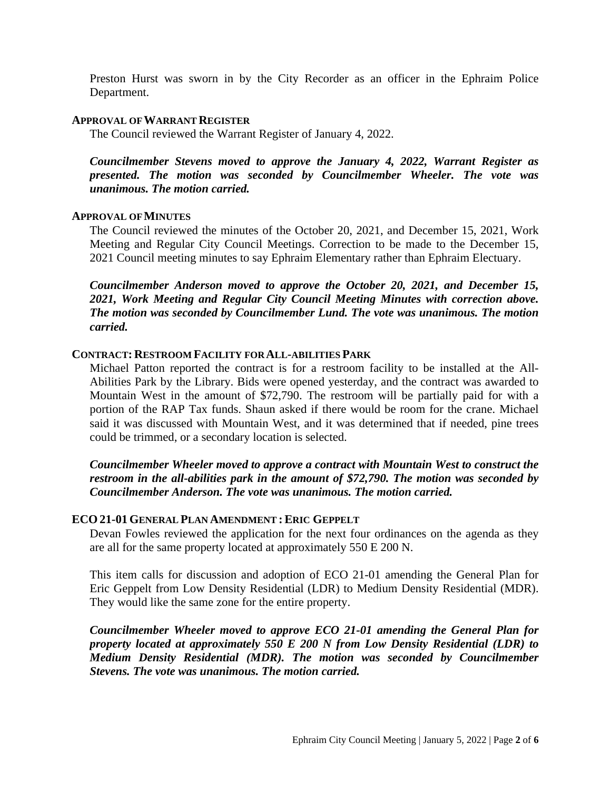Preston Hurst was sworn in by the City Recorder as an officer in the Ephraim Police Department.

#### **APPROVAL OF WARRANT REGISTER**

The Council reviewed the Warrant Register of January 4, 2022.

*Councilmember Stevens moved to approve the January 4, 2022, Warrant Register as presented. The motion was seconded by Councilmember Wheeler. The vote was unanimous. The motion carried.*

### **APPROVAL OF MINUTES**

The Council reviewed the minutes of the October 20, 2021, and December 15, 2021, Work Meeting and Regular City Council Meetings. Correction to be made to the December 15, 2021 Council meeting minutes to say Ephraim Elementary rather than Ephraim Electuary.

*Councilmember Anderson moved to approve the October 20, 2021, and December 15, 2021, Work Meeting and Regular City Council Meeting Minutes with correction above. The motion was seconded by Councilmember Lund. The vote was unanimous. The motion carried.*

### **CONTRACT: RESTROOM FACILITY FOR ALL-ABILITIES PARK**

Michael Patton reported the contract is for a restroom facility to be installed at the All-Abilities Park by the Library. Bids were opened yesterday, and the contract was awarded to Mountain West in the amount of \$72,790. The restroom will be partially paid for with a portion of the RAP Tax funds. Shaun asked if there would be room for the crane. Michael said it was discussed with Mountain West, and it was determined that if needed, pine trees could be trimmed, or a secondary location is selected.

*Councilmember Wheeler moved to approve a contract with Mountain West to construct the restroom in the all-abilities park in the amount of \$72,790. The motion was seconded by Councilmember Anderson. The vote was unanimous. The motion carried.*

### **ECO 21-01 GENERAL PLAN AMENDMENT :ERIC GEPPELT**

Devan Fowles reviewed the application for the next four ordinances on the agenda as they are all for the same property located at approximately 550 E 200 N.

This item calls for discussion and adoption of ECO 21-01 amending the General Plan for Eric Geppelt from Low Density Residential (LDR) to Medium Density Residential (MDR). They would like the same zone for the entire property.

*Councilmember Wheeler moved to approve ECO 21-01 amending the General Plan for property located at approximately 550 E 200 N from Low Density Residential (LDR) to Medium Density Residential (MDR). The motion was seconded by Councilmember Stevens. The vote was unanimous. The motion carried.*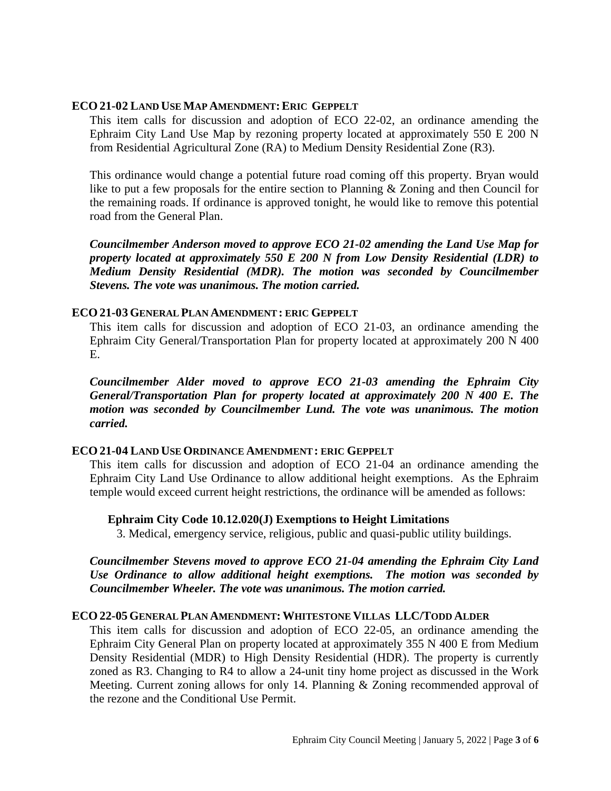### **ECO 21-02 LAND USE MAP AMENDMENT:ERIC GEPPELT**

This item calls for discussion and adoption of ECO 22-02, an ordinance amending the Ephraim City Land Use Map by rezoning property located at approximately 550 E 200 N from Residential Agricultural Zone (RA) to Medium Density Residential Zone (R3).

This ordinance would change a potential future road coming off this property. Bryan would like to put a few proposals for the entire section to Planning & Zoning and then Council for the remaining roads. If ordinance is approved tonight, he would like to remove this potential road from the General Plan.

*Councilmember Anderson moved to approve ECO 21-02 amending the Land Use Map for property located at approximately 550 E 200 N from Low Density Residential (LDR) to Medium Density Residential (MDR). The motion was seconded by Councilmember Stevens. The vote was unanimous. The motion carried.*

### **ECO 21-03 GENERAL PLAN AMENDMENT: ERIC GEPPELT**

This item calls for discussion and adoption of ECO 21-03, an ordinance amending the Ephraim City General/Transportation Plan for property located at approximately 200 N 400 E.

*Councilmember Alder moved to approve ECO 21-03 amending the Ephraim City General/Transportation Plan for property located at approximately 200 N 400 E. The motion was seconded by Councilmember Lund. The vote was unanimous. The motion carried.*

### **ECO 21-04 LAND USE ORDINANCE AMENDMENT: ERIC GEPPELT**

This item calls for discussion and adoption of ECO 21-04 an ordinance amending the Ephraim City Land Use Ordinance to allow additional height exemptions. As the Ephraim temple would exceed current height restrictions, the ordinance will be amended as follows:

**Ephraim City Code 10.12.020(J) Exemptions to Height Limitations**

3. Medical, emergency service, religious, public and quasi-public utility buildings.

*Councilmember Stevens moved to approve ECO 21-04 amending the Ephraim City Land Use Ordinance to allow additional height exemptions. The motion was seconded by Councilmember Wheeler. The vote was unanimous. The motion carried.*

### **ECO 22-05 GENERAL PLAN AMENDMENT:WHITESTONE VILLAS LLC/TODD ALDER**

This item calls for discussion and adoption of ECO 22-05, an ordinance amending the Ephraim City General Plan on property located at approximately 355 N 400 E from Medium Density Residential (MDR) to High Density Residential (HDR). The property is currently zoned as R3. Changing to R4 to allow a 24-unit tiny home project as discussed in the Work Meeting. Current zoning allows for only 14. Planning & Zoning recommended approval of the rezone and the Conditional Use Permit.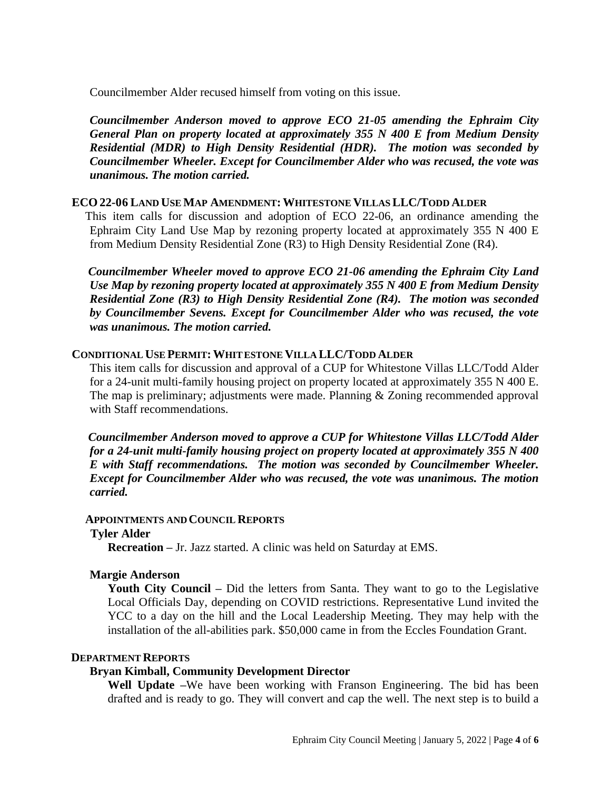Councilmember Alder recused himself from voting on this issue.

*Councilmember Anderson moved to approve ECO 21-05 amending the Ephraim City General Plan on property located at approximately 355 N 400 E from Medium Density Residential (MDR) to High Density Residential (HDR). The motion was seconded by Councilmember Wheeler. Except for Councilmember Alder who was recused, the vote was unanimous. The motion carried.*

### **ECO 22-06 LAND USE MAP AMENDMENT:WHITESTONE VILLAS LLC/TODD ALDER**

This item calls for discussion and adoption of ECO 22-06, an ordinance amending the Ephraim City Land Use Map by rezoning property located at approximately 355 N 400 E from Medium Density Residential Zone (R3) to High Density Residential Zone (R4).

*Councilmember Wheeler moved to approve ECO 21-06 amending the Ephraim City Land Use Map by rezoning property located at approximately 355 N 400 E from Medium Density Residential Zone (R3) to High Density Residential Zone (R4). The motion was seconded by Councilmember Sevens. Except for Councilmember Alder who was recused, the vote was unanimous. The motion carried.*

### **CONDITIONAL USE PERMIT:WHITESTONE VILLA LLC/TODD ALDER**

This item calls for discussion and approval of a CUP for Whitestone Villas LLC/Todd Alder for a 24-unit multi-family housing project on property located at approximately 355 N 400 E. The map is preliminary; adjustments were made. Planning & Zoning recommended approval with Staff recommendations.

*Councilmember Anderson moved to approve a CUP for Whitestone Villas LLC/Todd Alder for a 24-unit multi-family housing project on property located at approximately 355 N 400 E with Staff recommendations. The motion was seconded by Councilmember Wheeler. Except for Councilmember Alder who was recused, the vote was unanimous. The motion carried.*

#### **APPOINTMENTS AND COUNCIL REPORTS**

#### **Tyler Alder**

**Recreation –** Jr. Jazz started. A clinic was held on Saturday at EMS.

### **Margie Anderson**

**Youth City Council –** Did the letters from Santa. They want to go to the Legislative Local Officials Day, depending on COVID restrictions. Representative Lund invited the YCC to a day on the hill and the Local Leadership Meeting. They may help with the installation of the all-abilities park. \$50,000 came in from the Eccles Foundation Grant.

#### **DEPARTMENT REPORTS**

## **Bryan Kimball, Community Development Director**

**Well Update –**We have been working with Franson Engineering. The bid has been drafted and is ready to go. They will convert and cap the well. The next step is to build a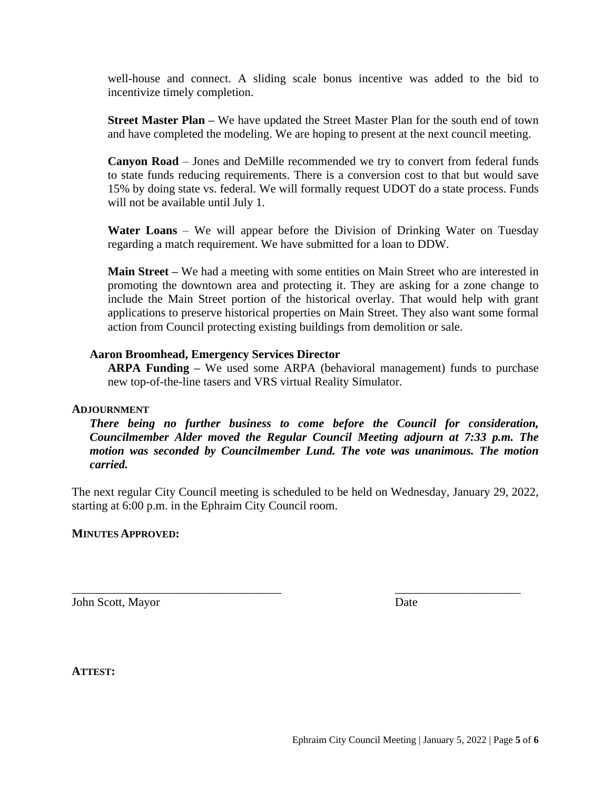well-house and connect. A sliding scale bonus incentive was added to the bid to incentivize timely completion.

**Street Master Plan –** We have updated the Street Master Plan for the south end of town and have completed the modeling. We are hoping to present at the next council meeting.

**Canyon Road** – Jones and DeMille recommended we try to convert from federal funds to state funds reducing requirements. There is a conversion cost to that but would save 15% by doing state vs. federal. We will formally request UDOT do a state process. Funds will not be available until July 1.

**Water Loans** – We will appear before the Division of Drinking Water on Tuesday regarding a match requirement. We have submitted for a loan to DDW.

**Main Street –** We had a meeting with some entities on Main Street who are interested in promoting the downtown area and protecting it. They are asking for a zone change to include the Main Street portion of the historical overlay. That would help with grant applications to preserve historical properties on Main Street. They also want some formal action from Council protecting existing buildings from demolition or sale.

### **Aaron Broomhead, Emergency Services Director**

**ARPA Funding –** We used some ARPA (behavioral management) funds to purchase new top-of-the-line tasers and VRS virtual Reality Simulator.

#### **ADJOURNMENT**

*There being no further business to come before the Council for consideration, Councilmember Alder moved the Regular Council Meeting adjourn at 7:33 p.m. The motion was seconded by Councilmember Lund. The vote was unanimous. The motion carried.*

The next regular City Council meeting is scheduled to be held on Wednesday, January 29, 2022, starting at 6:00 p.m. in the Ephraim City Council room.

\_\_\_\_\_\_\_\_\_\_\_\_\_\_\_\_\_\_\_\_\_\_\_\_\_\_\_\_\_\_\_\_\_\_\_ \_\_\_\_\_\_\_\_\_\_\_\_\_\_\_\_\_\_\_\_\_

#### **MINUTES APPROVED:**

John Scott, Mayor Date

**ATTEST:**